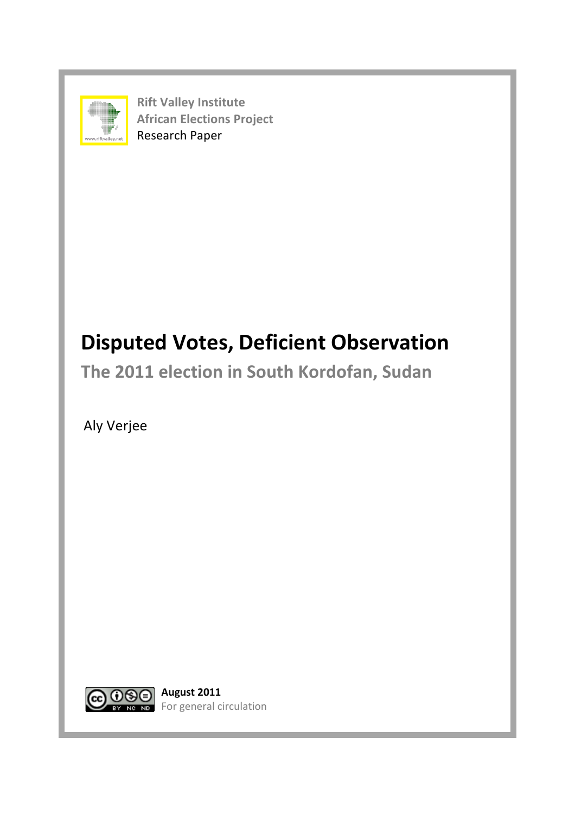

**Rift Valley Institute African Elections Project** ww.riftvalley.net **Research Paper** 

# **Disputed Votes, Deficient Observation**

The 2011 election in South Kordofan, Sudan

 Aly Verjee



For general circulation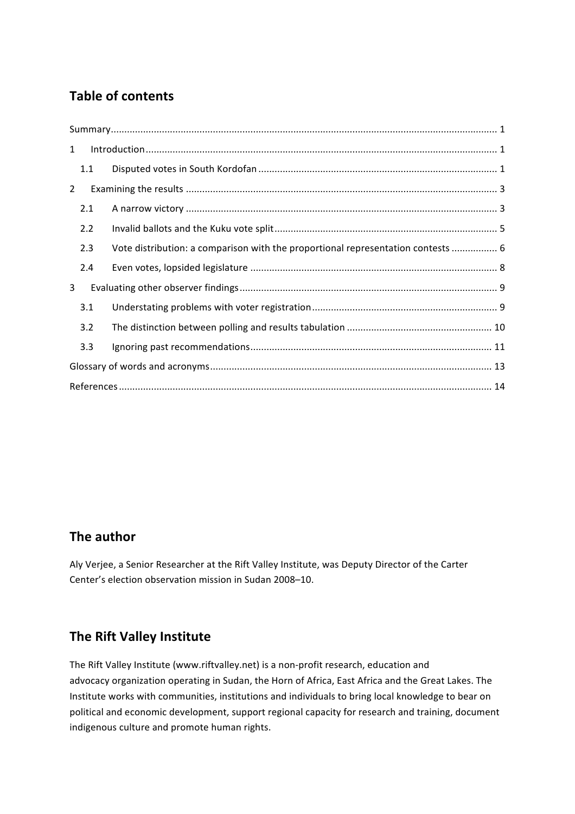## **Table of contents**

| $\mathbf{1}$   |     |                                                                                  |  |  |  |  |  |
|----------------|-----|----------------------------------------------------------------------------------|--|--|--|--|--|
|                | 1.1 |                                                                                  |  |  |  |  |  |
| $\overline{2}$ |     |                                                                                  |  |  |  |  |  |
|                | 2.1 |                                                                                  |  |  |  |  |  |
|                | 2.2 |                                                                                  |  |  |  |  |  |
|                | 2.3 | Vote distribution: a comparison with the proportional representation contests  6 |  |  |  |  |  |
|                | 2.4 |                                                                                  |  |  |  |  |  |
| 3              |     |                                                                                  |  |  |  |  |  |
|                | 3.1 |                                                                                  |  |  |  |  |  |
|                | 3.2 |                                                                                  |  |  |  |  |  |
|                | 3.3 |                                                                                  |  |  |  |  |  |
|                |     |                                                                                  |  |  |  |  |  |
|                |     |                                                                                  |  |  |  |  |  |

## **The author**

Aly Verjee, a Senior Researcher at the Rift Valley Institute, was Deputy Director of the Carter Center's election observation mission in Sudan 2008–10.

## **The Rift Valley Institute**

The Rift Valley Institute (www.riftvalley.net) is a non-profit research, education and advocacy organization operating in Sudan, the Horn of Africa, East Africa and the Great Lakes. The Institute works with communities, institutions and individuals to bring local knowledge to bear on political and economic development, support regional capacity for research and training, document indigenous culture and promote human rights.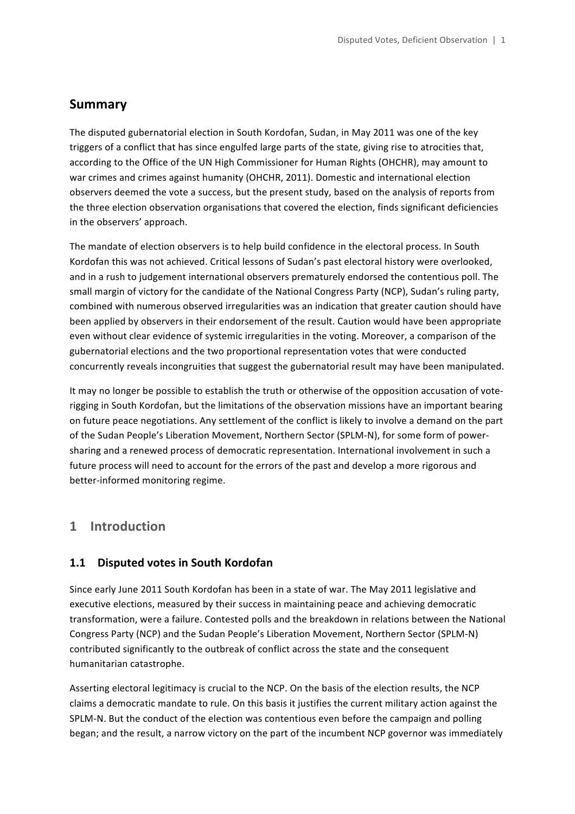## **Summary**

The disputed gubernatorial election in South Kordofan, Sudan, in May 2011 was one of the key triggers of a conflict that has since engulfed large parts of the state, giving rise to atrocities that, according to the Office of the UN High Commissioner for Human Rights (OHCHR), may amount to war crimes and crimes against humanity (OHCHR, 2011). Domestic and international election observers deemed the vote a success, but the present study, based on the analysis of reports from the three election observation organisations that covered the election, finds significant deficiencies in the observers' approach.

The mandate of election observers is to help build confidence in the electoral process. In South Kordofan this was not achieved. Critical lessons of Sudan's past electoral history were overlooked, and in a rush to judgement international observers prematurely endorsed the contentious poll. The small margin of victory for the candidate of the National Congress Party (NCP), Sudan's ruling party, combined with numerous observed irregularities was an indication that greater caution should have been applied by observers in their endorsement of the result. Caution would have been appropriate even without clear evidence of systemic irregularities in the voting. Moreover, a comparison of the gubernatorial elections and the two proportional representation votes that were conducted concurrently reveals incongruities that suggest the gubernatorial result may have been manipulated.

It may no longer be possible to establish the truth or otherwise of the opposition accusation of voterigging in South Kordofan, but the limitations of the observation missions have an important bearing on future peace negotiations. Any settlement of the conflict is likely to involve a demand on the part of the Sudan People's Liberation Movement, Northern Sector (SPLM-N), for some form of powersharing and a renewed process of democratic representation. International involvement in such a future process will need to account for the errors of the past and develop a more rigorous and better-informed monitoring regime.

## **1 Introduction**

### **1.1 Disputed votes in South Kordofan**

Since early June 2011 South Kordofan has been in a state of war. The May 2011 legislative and executive elections, measured by their success in maintaining peace and achieving democratic transformation, were a failure. Contested polls and the breakdown in relations between the National Congress Party (NCP) and the Sudan People's Liberation Movement, Northern Sector (SPLM-N) contributed significantly to the outbreak of conflict across the state and the consequent humanitarian catastrophe.

Asserting electoral legitimacy is crucial to the NCP. On the basis of the election results, the NCP claims a democratic mandate to rule. On this basis it justifies the current military action against the SPLM-N. But the conduct of the election was contentious even before the campaign and polling began; and the result, a narrow victory on the part of the incumbent NCP governor was immediately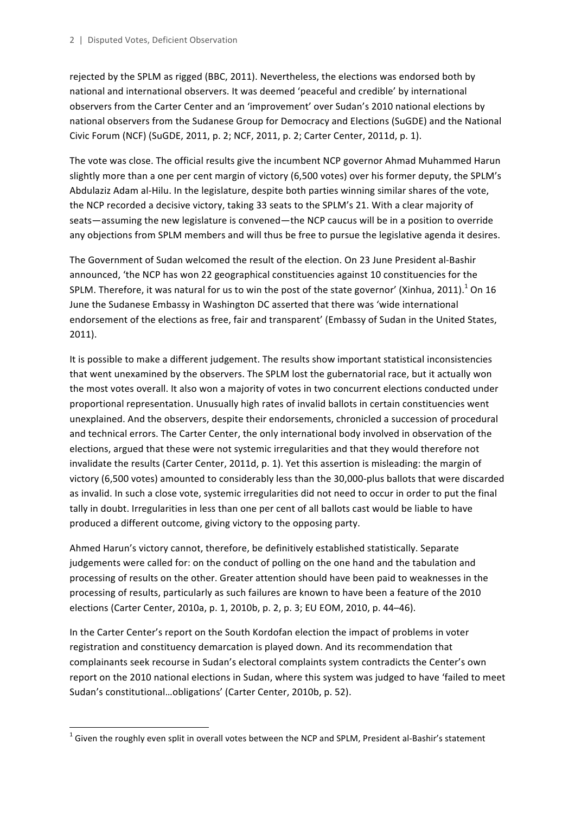rejected by the SPLM as rigged (BBC, 2011). Nevertheless, the elections was endorsed both by national and international observers. It was deemed 'peaceful and credible' by international observers from the Carter Center and an 'improvement' over Sudan's 2010 national elections by national observers from the Sudanese Group for Democracy and Elections (SuGDE) and the National Civic Forum (NCF) (SuGDE, 2011, p. 2; NCF, 2011, p. 2; Carter Center, 2011d, p. 1).

The vote was close. The official results give the incumbent NCP governor Ahmad Muhammed Harun slightly more than a one per cent margin of victory (6,500 votes) over his former deputy, the SPLM's Abdulaziz Adam al-Hilu. In the legislature, despite both parties winning similar shares of the vote, the NCP recorded a decisive victory, taking 33 seats to the SPLM's 21. With a clear majority of seats—assuming the new legislature is convened—the NCP caucus will be in a position to override any objections from SPLM members and will thus be free to pursue the legislative agenda it desires.

The Government of Sudan welcomed the result of the election. On 23 June President al-Bashir announced, 'the NCP has won 22 geographical constituencies against 10 constituencies for the SPLM. Therefore, it was natural for us to win the post of the state governor' (Xinhua, 2011).<sup>1</sup> On 16 June the Sudanese Embassy in Washington DC asserted that there was 'wide international endorsement of the elections as free, fair and transparent' (Embassy of Sudan in the United States, 2011).

It is possible to make a different judgement. The results show important statistical inconsistencies that went unexamined by the observers. The SPLM lost the gubernatorial race, but it actually won the most votes overall. It also won a majority of votes in two concurrent elections conducted under proportional representation. Unusually high rates of invalid ballots in certain constituencies went unexplained. And the observers, despite their endorsements, chronicled a succession of procedural and technical errors. The Carter Center, the only international body involved in observation of the elections, argued that these were not systemic irregularities and that they would therefore not invalidate the results (Carter Center, 2011d, p. 1). Yet this assertion is misleading: the margin of victory (6,500 votes) amounted to considerably less than the 30,000-plus ballots that were discarded as invalid. In such a close vote, systemic irregularities did not need to occur in order to put the final tally in doubt. Irregularities in less than one per cent of all ballots cast would be liable to have produced a different outcome, giving victory to the opposing party.

Ahmed Harun's victory cannot, therefore, be definitively established statistically. Separate judgements were called for: on the conduct of polling on the one hand and the tabulation and processing of results on the other. Greater attention should have been paid to weaknesses in the processing of results, particularly as such failures are known to have been a feature of the 2010 elections (Carter Center, 2010a, p. 1, 2010b, p. 2, p. 3; EU EOM, 2010, p. 44-46).

In the Carter Center's report on the South Kordofan election the impact of problems in voter registration and constituency demarcation is played down. And its recommendation that complainants seek recourse in Sudan's electoral complaints system contradicts the Center's own report on the 2010 national elections in Sudan, where this system was judged to have 'failed to meet Sudan's constitutional...obligations' (Carter Center, 2010b, p. 52).

<u> 1989 - Johann Stein, fransk politiker (d. 1989)</u>

 $1$  Given the roughly even split in overall votes between the NCP and SPLM, President al-Bashir's statement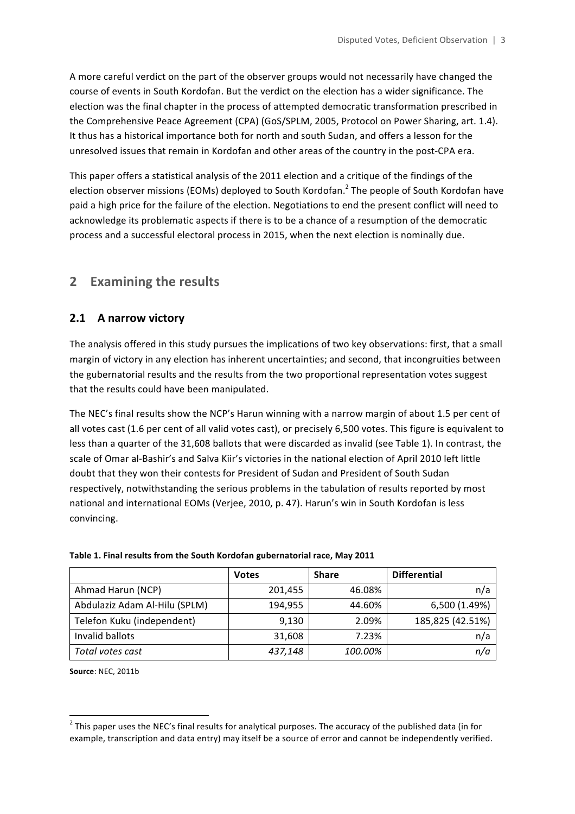A more careful verdict on the part of the observer groups would not necessarily have changed the course of events in South Kordofan. But the verdict on the election has a wider significance. The election was the final chapter in the process of attempted democratic transformation prescribed in the Comprehensive Peace Agreement (CPA) (GoS/SPLM, 2005, Protocol on Power Sharing, art. 1.4). It thus has a historical importance both for north and south Sudan, and offers a lesson for the unresolved issues that remain in Kordofan and other areas of the country in the post-CPA era.

This paper offers a statistical analysis of the 2011 election and a critique of the findings of the election observer missions (EOMs) deployed to South Kordofan.<sup>2</sup> The people of South Kordofan have paid a high price for the failure of the election. Negotiations to end the present conflict will need to acknowledge its problematic aspects if there is to be a chance of a resumption of the democratic process and a successful electoral process in 2015, when the next election is nominally due.

## **2 Examining the results**

## **2.1** A narrow victory

The analysis offered in this study pursues the implications of two key observations: first, that a small margin of victory in any election has inherent uncertainties; and second, that incongruities between the gubernatorial results and the results from the two proportional representation votes suggest that the results could have been manipulated.

The NEC's final results show the NCP's Harun winning with a narrow margin of about 1.5 per cent of all votes cast (1.6 per cent of all valid votes cast), or precisely 6,500 votes. This figure is equivalent to less than a quarter of the 31,608 ballots that were discarded as invalid (see Table 1). In contrast, the scale of Omar al-Bashir's and Salva Kiir's victories in the national election of April 2010 left little doubt that they won their contests for President of Sudan and President of South Sudan respectively, notwithstanding the serious problems in the tabulation of results reported by most national and international EOMs (Verjee, 2010, p. 47). Harun's win in South Kordofan is less convincing.

|                               | <b>Votes</b> | <b>Share</b> | <b>Differential</b> |
|-------------------------------|--------------|--------------|---------------------|
| Ahmad Harun (NCP)             | 201,455      | 46.08%       | n/a                 |
| Abdulaziz Adam Al-Hilu (SPLM) | 194,955      | 44.60%       | 6,500 (1.49%)       |
| Telefon Kuku (independent)    | 9,130        | 2.09%        | 185,825 (42.51%)    |
| Invalid ballots               | 31,608       | 7.23%        | n/a                 |
| Total votes cast              | 437,148      | 100.00%      | n/a                 |

#### Table 1. Final results from the South Kordofan gubernatorial race, May 2011

**Source: NEC, 2011b** 

<u> 1989 - Johann Stein, fransk politiker (d. 1989)</u>

 $2$  This paper uses the NEC's final results for analytical purposes. The accuracy of the published data (in for example, transcription and data entry) may itself be a source of error and cannot be independently verified.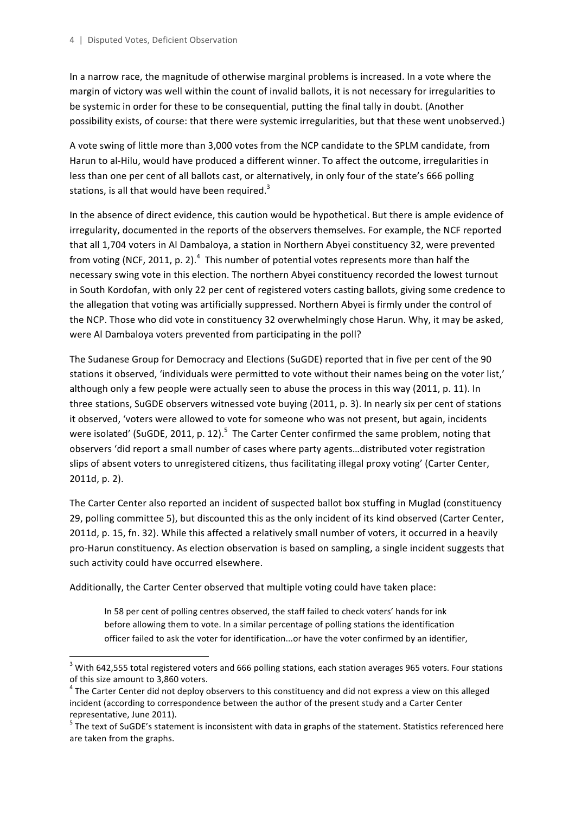In a narrow race, the magnitude of otherwise marginal problems is increased. In a vote where the margin of victory was well within the count of invalid ballots, it is not necessary for irregularities to be systemic in order for these to be consequential, putting the final tally in doubt. (Another possibility exists, of course: that there were systemic irregularities, but that these went unobserved.)

A vote swing of little more than 3,000 votes from the NCP candidate to the SPLM candidate, from Harun to al-Hilu, would have produced a different winner. To affect the outcome, irregularities in less than one per cent of all ballots cast, or alternatively, in only four of the state's 666 polling stations, is all that would have been required. $3$ 

In the absence of direct evidence, this caution would be hypothetical. But there is ample evidence of irregularity, documented in the reports of the observers themselves. For example, the NCF reported that all 1,704 voters in Al Dambaloya, a station in Northern Abyei constituency 32, were prevented from voting (NCF, 2011, p. 2).<sup>4</sup> This number of potential votes represents more than half the necessary swing vote in this election. The northern Abyei constituency recorded the lowest turnout in South Kordofan, with only 22 per cent of registered voters casting ballots, giving some credence to the allegation that voting was artificially suppressed. Northern Abyei is firmly under the control of the NCP. Those who did vote in constituency 32 overwhelmingly chose Harun. Why, it may be asked, were Al Dambaloya voters prevented from participating in the poll?

The Sudanese Group for Democracy and Elections (SuGDE) reported that in five per cent of the 90 stations it observed, 'individuals were permitted to vote without their names being on the voter list,' although only a few people were actually seen to abuse the process in this way (2011, p. 11). In three stations, SuGDE observers witnessed vote buying (2011, p. 3). In nearly six per cent of stations it observed, 'voters were allowed to vote for someone who was not present, but again, incidents were isolated' (SuGDE, 2011, p. 12).<sup>5</sup> The Carter Center confirmed the same problem, noting that observers 'did report a small number of cases where party agents...distributed voter registration slips of absent voters to unregistered citizens, thus facilitating illegal proxy voting' (Carter Center, 2011d, p. 2).

The Carter Center also reported an incident of suspected ballot box stuffing in Muglad (constituency 29, polling committee 5), but discounted this as the only incident of its kind observed (Carter Center, 2011d, p. 15, fn. 32). While this affected a relatively small number of voters, it occurred in a heavily pro-Harun constituency. As election observation is based on sampling, a single incident suggests that such activity could have occurred elsewhere.

Additionally, the Carter Center observed that multiple voting could have taken place:

 

In 58 per cent of polling centres observed, the staff failed to check voters' hands for ink before allowing them to vote. In a similar percentage of polling stations the identification officer failed to ask the voter for identification...or have the voter confirmed by an identifier,

 $3$  With 642,555 total registered voters and 666 polling stations, each station averages 965 voters. Four stations of this size amount to 3,860 voters.

 $4$  The Carter Center did not deploy observers to this constituency and did not express a view on this alleged incident (according to correspondence between the author of the present study and a Carter Center representative, June 2011).

 $5$  The text of SuGDE's statement is inconsistent with data in graphs of the statement. Statistics referenced here are taken from the graphs.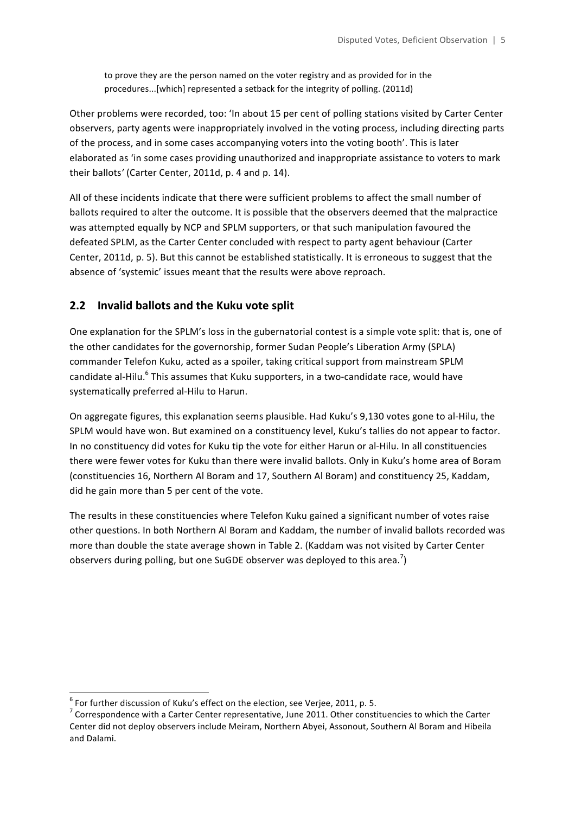to prove they are the person named on the voter registry and as provided for in the procedures...[which] represented a setback for the integrity of polling. (2011d)

Other problems were recorded, too: 'In about 15 per cent of polling stations visited by Carter Center observers, party agents were inappropriately involved in the voting process, including directing parts of the process, and in some cases accompanying voters into the voting booth'. This is later elaborated as 'in some cases providing unauthorized and inappropriate assistance to voters to mark their ballots' (Carter Center, 2011d, p. 4 and p. 14).

All of these incidents indicate that there were sufficient problems to affect the small number of ballots required to alter the outcome. It is possible that the observers deemed that the malpractice was attempted equally by NCP and SPLM supporters, or that such manipulation favoured the defeated SPLM, as the Carter Center concluded with respect to party agent behaviour (Carter Center, 2011d, p. 5). But this cannot be established statistically. It is erroneous to suggest that the absence of 'systemic' issues meant that the results were above reproach.

## **2.2 Invalid ballots and the Kuku vote split**

One explanation for the SPLM's loss in the gubernatorial contest is a simple vote split: that is, one of the other candidates for the governorship, former Sudan People's Liberation Army (SPLA) commander Telefon Kuku, acted as a spoiler, taking critical support from mainstream SPLM candidate al-Hilu. $6$  This assumes that Kuku supporters, in a two-candidate race, would have systematically preferred al-Hilu to Harun.

On aggregate figures, this explanation seems plausible. Had Kuku's 9,130 votes gone to al-Hilu, the SPLM would have won. But examined on a constituency level, Kuku's tallies do not appear to factor. In no constituency did votes for Kuku tip the vote for either Harun or al-Hilu. In all constituencies there were fewer votes for Kuku than there were invalid ballots. Only in Kuku's home area of Boram (constituencies 16, Northern Al Boram and 17, Southern Al Boram) and constituency 25, Kaddam, did he gain more than 5 per cent of the vote.

The results in these constituencies where Telefon Kuku gained a significant number of votes raise other questions. In both Northern Al Boram and Kaddam, the number of invalid ballots recorded was more than double the state average shown in Table 2. (Kaddam was not visited by Carter Center observers during polling, but one SuGDE observer was deployed to this area.<sup>7</sup>)

<sup>&</sup>lt;sup>6</sup> For further discussion of Kuku's effect on the election, see Verjee, 2011, p. 5.<br><sup>7</sup> Correspondence with a Carter Center representative, June 2011. Other constituencies to which the Carter Center did not deploy observers include Meiram, Northern Abyei, Assonout, Southern Al Boram and Hibeila and Dalami.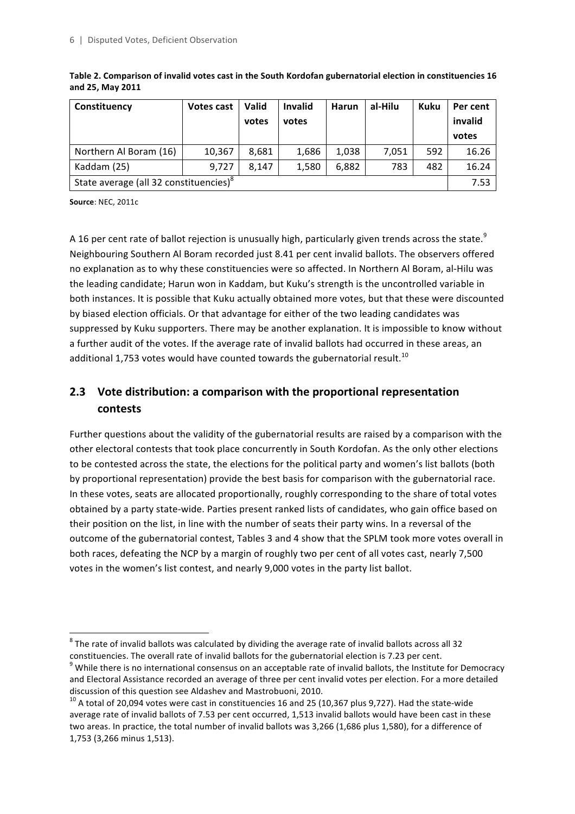| Constituency                                       | Votes cast | Valid | <b>Invalid</b> | Harun | al-Hilu | Kuku | Per cent |
|----------------------------------------------------|------------|-------|----------------|-------|---------|------|----------|
|                                                    |            | votes | votes          |       |         |      | invalid  |
|                                                    |            |       |                |       |         |      | votes    |
| Northern Al Boram (16)                             | 10,367     | 8.681 | 1,686          | 1,038 | 7.051   | 592  | 16.26    |
| Kaddam (25)                                        | 9.727      | 8.147 | 1,580          | 6,882 | 783     | 482  | 16.24    |
| State average (all 32 constituencies) <sup>8</sup> |            |       |                | 7.53  |         |      |          |

Table 2. Comparison of invalid votes cast in the South Kordofan gubernatorial election in constituencies 16 **and 25, May 2011**

**Source: NEC, 2011c** 

<u> 1989 - Johann Stein, fransk politiker (d. 1989)</u>

A 16 per cent rate of ballot rejection is unusually high, particularly given trends across the state.<sup>9</sup> Neighbouring Southern Al Boram recorded just 8.41 per cent invalid ballots. The observers offered no explanation as to why these constituencies were so affected. In Northern Al Boram, al-Hilu was the leading candidate; Harun won in Kaddam, but Kuku's strength is the uncontrolled variable in both instances. It is possible that Kuku actually obtained more votes, but that these were discounted by biased election officials. Or that advantage for either of the two leading candidates was suppressed by Kuku supporters. There may be another explanation. It is impossible to know without a further audit of the votes. If the average rate of invalid ballots had occurred in these areas, an additional 1,753 votes would have counted towards the gubernatorial result.<sup>10</sup>

## **2.3** Vote distribution: a comparison with the proportional representation **contests**

Further questions about the validity of the gubernatorial results are raised by a comparison with the other electoral contests that took place concurrently in South Kordofan. As the only other elections to be contested across the state, the elections for the political party and women's list ballots (both by proportional representation) provide the best basis for comparison with the gubernatorial race. In these votes, seats are allocated proportionally, roughly corresponding to the share of total votes obtained by a party state-wide. Parties present ranked lists of candidates, who gain office based on their position on the list, in line with the number of seats their party wins. In a reversal of the outcome of the gubernatorial contest, Tables 3 and 4 show that the SPLM took more votes overall in both races, defeating the NCP by a margin of roughly two per cent of all votes cast, nearly 7,500 votes in the women's list contest, and nearly 9,000 votes in the party list ballot.

 $8$  The rate of invalid ballots was calculated by dividing the average rate of invalid ballots across all 32 constituencies. The overall rate of invalid ballots for the gubernatorial election is 7.23 per cent.

 $9$  While there is no international consensus on an acceptable rate of invalid ballots, the Institute for Democracy and Electoral Assistance recorded an average of three per cent invalid votes per election. For a more detailed

discussion of this question see Aldashev and Mastrobuoni, 2010.<br><sup>10</sup> A total of 20,094 votes were cast in constituencies 16 and 25 (10,367 plus 9,727). Had the state-wide average rate of invalid ballots of 7.53 per cent occurred, 1,513 invalid ballots would have been cast in these two areas. In practice, the total number of invalid ballots was 3,266 (1,686 plus 1,580), for a difference of 1,753 (3,266 minus 1,513).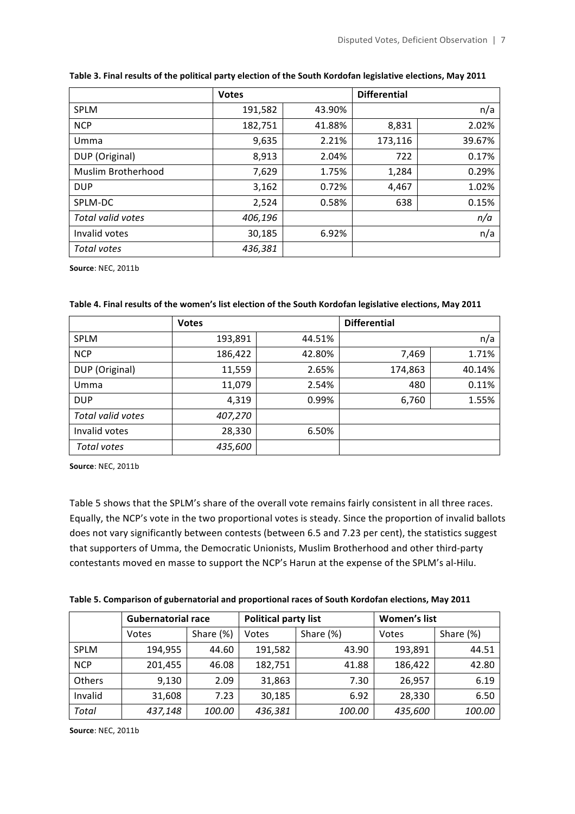|                    | <b>Votes</b> |        | <b>Differential</b> |        |
|--------------------|--------------|--------|---------------------|--------|
| <b>SPLM</b>        | 191,582      | 43.90% |                     | n/a    |
| <b>NCP</b>         | 182,751      | 41.88% | 8,831               | 2.02%  |
| Umma               | 9,635        | 2.21%  | 173,116             | 39.67% |
| DUP (Original)     | 8,913        | 2.04%  | 722                 | 0.17%  |
| Muslim Brotherhood | 7,629        | 1.75%  | 1,284               | 0.29%  |
| <b>DUP</b>         | 3,162        | 0.72%  | 4,467               | 1.02%  |
| SPLM-DC            | 2,524        | 0.58%  | 638                 | 0.15%  |
| Total valid votes  | 406,196      |        |                     | n/a    |
| Invalid votes      | 30,185       | 6.92%  |                     | n/a    |
| Total votes        | 436,381      |        |                     |        |

#### **Table 3. Final results of the political party election of the South Kordofan legislative elections, May 2011**

**Source:** NEC, 2011b

|                   | <b>Votes</b> |        | <b>Differential</b> |        |
|-------------------|--------------|--------|---------------------|--------|
| <b>SPLM</b>       | 193,891      | 44.51% |                     | n/a    |
| <b>NCP</b>        | 186,422      | 42.80% | 7,469               | 1.71%  |
| DUP (Original)    | 11,559       | 2.65%  | 174,863             | 40.14% |
| Umma              | 11,079       | 2.54%  | 480                 | 0.11%  |
| <b>DUP</b>        | 4,319        | 0.99%  | 6,760               | 1.55%  |
| Total valid votes | 407,270      |        |                     |        |
| Invalid votes     | 28,330       | 6.50%  |                     |        |
| Total votes       | 435,600      |        |                     |        |

**Source: NEC, 2011b** 

Table 5 shows that the SPLM's share of the overall vote remains fairly consistent in all three races. Equally, the NCP's vote in the two proportional votes is steady. Since the proportion of invalid ballots does not vary significantly between contests (between 6.5 and 7.23 per cent), the statistics suggest that supporters of Umma, the Democratic Unionists, Muslim Brotherhood and other third-party contestants moved en masse to support the NCP's Harun at the expense of the SPLM's al-Hilu.

| Table 5. Comparison of gubernatorial and proportional races of South Kordofan elections, May 2011 |  |  |
|---------------------------------------------------------------------------------------------------|--|--|
|---------------------------------------------------------------------------------------------------|--|--|

|              | <b>Gubernatorial race</b> |           | Political party list |           | Women's list |           |
|--------------|---------------------------|-----------|----------------------|-----------|--------------|-----------|
|              | Votes                     | Share (%) | Votes                | Share (%) | Votes        | Share (%) |
| <b>SPLM</b>  | 194,955                   | 44.60     | 191,582              | 43.90     | 193,891      | 44.51     |
| <b>NCP</b>   | 201,455                   | 46.08     | 182,751              | 41.88     | 186,422      | 42.80     |
| Others       | 9,130                     | 2.09      | 31,863               | 7.30      | 26,957       | 6.19      |
| Invalid      | 31,608                    | 7.23      | 30,185               | 6.92      | 28,330       | 6.50      |
| <b>Total</b> | 437,148                   | 100.00    | 436,381              | 100.00    | 435,600      | 100.00    |

**Source:** NEC, 2011b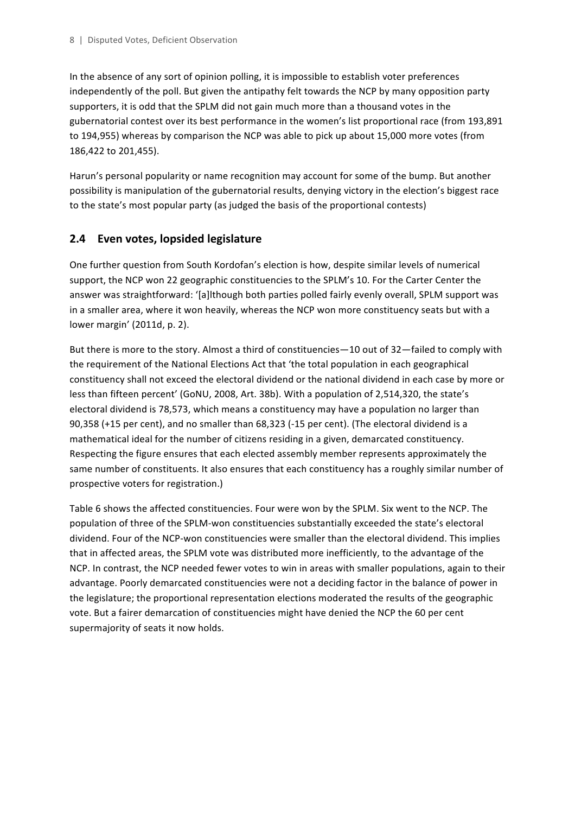In the absence of any sort of opinion polling, it is impossible to establish voter preferences independently of the poll. But given the antipathy felt towards the NCP by many opposition party supporters, it is odd that the SPLM did not gain much more than a thousand votes in the gubernatorial contest over its best performance in the women's list proportional race (from 193,891 to 194,955) whereas by comparison the NCP was able to pick up about 15,000 more votes (from 186,422 to 201,455).

Harun's personal popularity or name recognition may account for some of the bump. But another possibility is manipulation of the gubernatorial results, denying victory in the election's biggest race to the state's most popular party (as judged the basis of the proportional contests)

#### **2.4 Even votes, lopsided legislature**

One further question from South Kordofan's election is how, despite similar levels of numerical support, the NCP won 22 geographic constituencies to the SPLM's 10. For the Carter Center the answer was straightforward: '[a]lthough both parties polled fairly evenly overall, SPLM support was in a smaller area, where it won heavily, whereas the NCP won more constituency seats but with a lower margin' (2011d, p. 2).

But there is more to the story. Almost a third of constituencies—10 out of 32—failed to comply with the requirement of the National Elections Act that 'the total population in each geographical constituency shall not exceed the electoral dividend or the national dividend in each case by more or less than fifteen percent' (GoNU, 2008, Art. 38b). With a population of 2,514,320, the state's electoral dividend is 78,573, which means a constituency may have a population no larger than 90,358  $(+15$  per cent), and no smaller than  $68,323$   $(-15$  per cent). (The electoral dividend is a mathematical ideal for the number of citizens residing in a given, demarcated constituency. Respecting the figure ensures that each elected assembly member represents approximately the same number of constituents. It also ensures that each constituency has a roughly similar number of prospective voters for registration.)

Table 6 shows the affected constituencies. Four were won by the SPLM. Six went to the NCP. The population of three of the SPLM-won constituencies substantially exceeded the state's electoral dividend. Four of the NCP-won constituencies were smaller than the electoral dividend. This implies that in affected areas, the SPLM vote was distributed more inefficiently, to the advantage of the NCP. In contrast, the NCP needed fewer votes to win in areas with smaller populations, again to their advantage. Poorly demarcated constituencies were not a deciding factor in the balance of power in the legislature; the proportional representation elections moderated the results of the geographic vote. But a fairer demarcation of constituencies might have denied the NCP the 60 per cent supermajority of seats it now holds.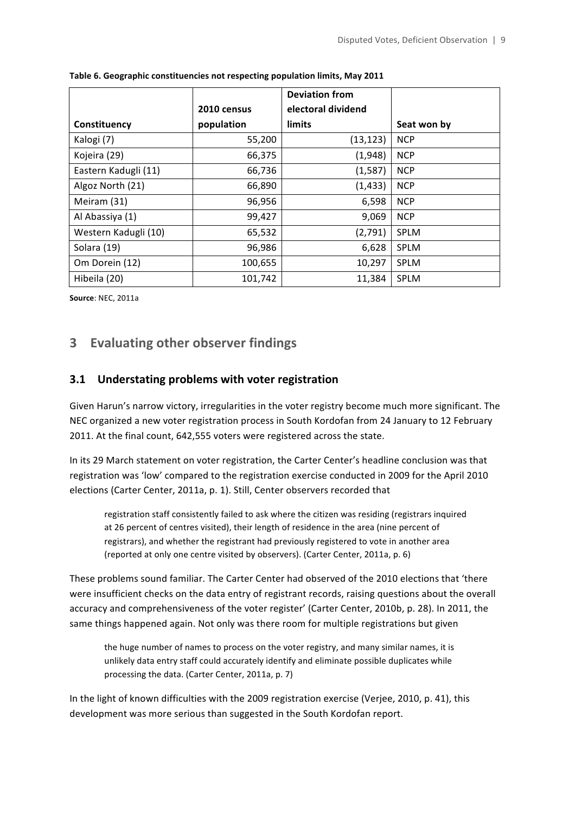|                      |             | <b>Deviation from</b> |             |
|----------------------|-------------|-----------------------|-------------|
|                      | 2010 census | electoral dividend    |             |
| Constituency         | population  | limits                | Seat won by |
| Kalogi (7)           | 55,200      | (13, 123)             | <b>NCP</b>  |
| Kojeira (29)         | 66,375      | (1,948)               | <b>NCP</b>  |
| Eastern Kadugli (11) | 66,736      | (1, 587)              | <b>NCP</b>  |
| Algoz North (21)     | 66,890      | (1, 433)              | <b>NCP</b>  |
| Meiram (31)          | 96,956      | 6,598                 | <b>NCP</b>  |
| Al Abassiya (1)      | 99,427      | 9,069                 | <b>NCP</b>  |
| Western Kadugli (10) | 65,532      | (2,791)               | <b>SPLM</b> |
| Solara (19)          | 96,986      | 6,628                 | <b>SPLM</b> |
| Om Dorein (12)       | 100,655     | 10,297                | <b>SPLM</b> |
| Hibeila (20)         | 101,742     | 11,384                | <b>SPLM</b> |

Table 6. Geographic constituencies not respecting population limits, May 2011

**Source: NEC, 2011a** 

## **3 Evaluating other observer findings**

#### **3.1** Understating problems with voter registration

Given Harun's narrow victory, irregularities in the voter registry become much more significant. The NEC organized a new voter registration process in South Kordofan from 24 January to 12 February 2011. At the final count, 642,555 voters were registered across the state.

In its 29 March statement on voter registration, the Carter Center's headline conclusion was that registration was 'low' compared to the registration exercise conducted in 2009 for the April 2010 elections (Carter Center, 2011a, p. 1). Still, Center observers recorded that

registration staff consistently failed to ask where the citizen was residing (registrars inquired at 26 percent of centres visited), their length of residence in the area (nine percent of registrars), and whether the registrant had previously registered to vote in another area (reported at only one centre visited by observers). (Carter Center, 2011a, p. 6)

These problems sound familiar. The Carter Center had observed of the 2010 elections that 'there were insufficient checks on the data entry of registrant records, raising questions about the overall accuracy and comprehensiveness of the voter register' (Carter Center, 2010b, p. 28). In 2011, the same things happened again. Not only was there room for multiple registrations but given

the huge number of names to process on the voter registry, and many similar names, it is unlikely data entry staff could accurately identify and eliminate possible duplicates while processing the data. (Carter Center, 2011a, p. 7)

In the light of known difficulties with the 2009 registration exercise (Verjee, 2010, p. 41), this development was more serious than suggested in the South Kordofan report.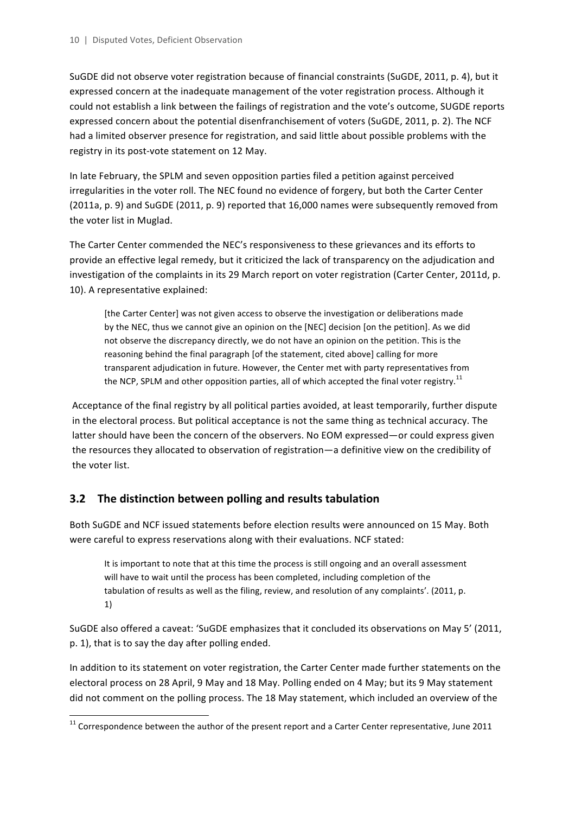SuGDE did not observe voter registration because of financial constraints (SuGDE, 2011, p. 4), but it expressed concern at the inadequate management of the voter registration process. Although it could not establish a link between the failings of registration and the vote's outcome, SUGDE reports expressed concern about the potential disenfranchisement of voters (SuGDE, 2011, p. 2). The NCF had a limited observer presence for registration, and said little about possible problems with the registry in its post-vote statement on 12 May.

In late February, the SPLM and seven opposition parties filed a petition against perceived irregularities in the voter roll. The NEC found no evidence of forgery, but both the Carter Center (2011a, p. 9) and SuGDE (2011, p. 9) reported that 16,000 names were subsequently removed from the voter list in Muglad.

The Carter Center commended the NEC's responsiveness to these grievances and its efforts to provide an effective legal remedy, but it criticized the lack of transparency on the adjudication and investigation of the complaints in its 29 March report on voter registration (Carter Center, 2011d, p. 10). A representative explained:

[the Carter Center] was not given access to observe the investigation or deliberations made by the NEC, thus we cannot give an opinion on the [NEC] decision [on the petition]. As we did not observe the discrepancy directly, we do not have an opinion on the petition. This is the reasoning behind the final paragraph [of the statement, cited above] calling for more transparent adjudication in future. However, the Center met with party representatives from the NCP, SPLM and other opposition parties, all of which accepted the final voter registry.<sup>11</sup>

Acceptance of the final registry by all political parties avoided, at least temporarily, further dispute in the electoral process. But political acceptance is not the same thing as technical accuracy. The latter should have been the concern of the observers. No EOM expressed—or could express given the resources they allocated to observation of registration—a definitive view on the credibility of the voter list.

## **3.2** The distinction between polling and results tabulation

<u> 1989 - Johann Stein, fransk politiker (d. 1989)</u>

Both SuGDE and NCF issued statements before election results were announced on 15 May. Both were careful to express reservations along with their evaluations. NCF stated:

It is important to note that at this time the process is still ongoing and an overall assessment will have to wait until the process has been completed, including completion of the tabulation of results as well as the filing, review, and resolution of any complaints'. (2011, p. 1)

SuGDE also offered a caveat: 'SuGDE emphasizes that it concluded its observations on May 5' (2011, p. 1), that is to say the day after polling ended.

In addition to its statement on voter registration, the Carter Center made further statements on the electoral process on 28 April, 9 May and 18 May. Polling ended on 4 May; but its 9 May statement did not comment on the polling process. The 18 May statement, which included an overview of the

 $11$  Correspondence between the author of the present report and a Carter Center representative, June 2011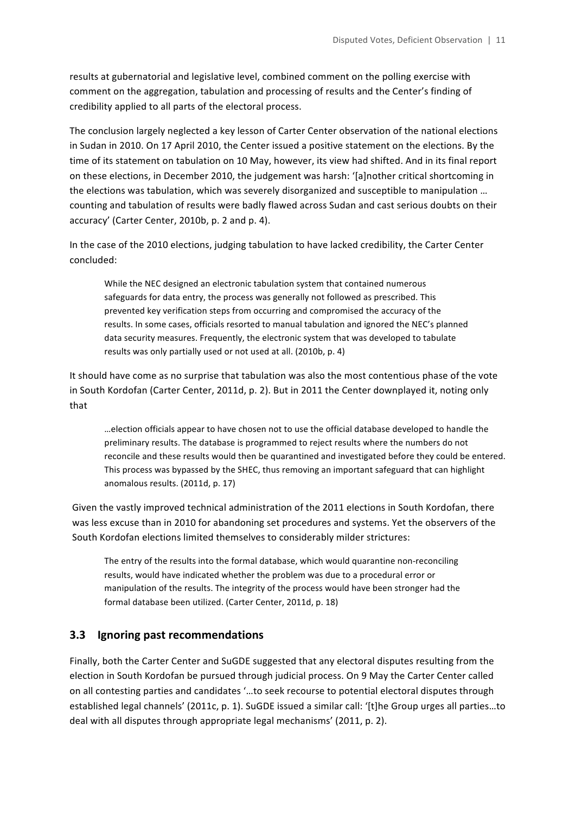results at gubernatorial and legislative level, combined comment on the polling exercise with comment on the aggregation, tabulation and processing of results and the Center's finding of credibility applied to all parts of the electoral process.

The conclusion largely neglected a key lesson of Carter Center observation of the national elections in Sudan in 2010. On 17 April 2010, the Center issued a positive statement on the elections. By the time of its statement on tabulation on 10 May, however, its view had shifted. And in its final report on these elections, in December 2010, the judgement was harsh: '[a]nother critical shortcoming in the elections was tabulation, which was severely disorganized and susceptible to manipulation ... counting and tabulation of results were badly flawed across Sudan and cast serious doubts on their accuracy' (Carter Center, 2010b, p. 2 and p. 4).

In the case of the 2010 elections, judging tabulation to have lacked credibility, the Carter Center concluded:

While the NEC designed an electronic tabulation system that contained numerous safeguards for data entry, the process was generally not followed as prescribed. This prevented key verification steps from occurring and compromised the accuracy of the results. In some cases, officials resorted to manual tabulation and ignored the NEC's planned data security measures. Frequently, the electronic system that was developed to tabulate results was only partially used or not used at all. (2010b, p. 4)

It should have come as no surprise that tabulation was also the most contentious phase of the vote in South Kordofan (Carter Center, 2011d, p. 2). But in 2011 the Center downplayed it, noting only that

…election officials appear to have chosen not to use the official database developed to handle the preliminary results. The database is programmed to reject results where the numbers do not reconcile and these results would then be quarantined and investigated before they could be entered. This process was bypassed by the SHEC, thus removing an important safeguard that can highlight anomalous results. (2011d, p. 17)

Given the vastly improved technical administration of the 2011 elections in South Kordofan, there was less excuse than in 2010 for abandoning set procedures and systems. Yet the observers of the South Kordofan elections limited themselves to considerably milder strictures:

The entry of the results into the formal database, which would quarantine non-reconciling results, would have indicated whether the problem was due to a procedural error or manipulation of the results. The integrity of the process would have been stronger had the formal database been utilized. (Carter Center, 2011d, p. 18)

#### **3.3** Ignoring past recommendations

Finally, both the Carter Center and SuGDE suggested that any electoral disputes resulting from the election in South Kordofan be pursued through judicial process. On 9 May the Carter Center called on all contesting parties and candidates '...to seek recourse to potential electoral disputes through established legal channels' (2011c, p. 1). SuGDE issued a similar call: '[t]he Group urges all parties...to deal with all disputes through appropriate legal mechanisms' (2011, p. 2).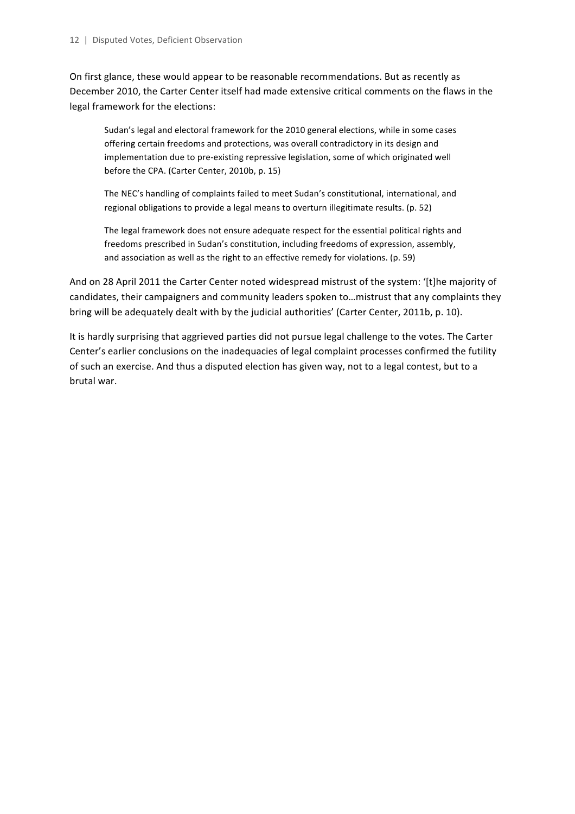On first glance, these would appear to be reasonable recommendations. But as recently as December 2010, the Carter Center itself had made extensive critical comments on the flaws in the legal framework for the elections:

Sudan's legal and electoral framework for the 2010 general elections, while in some cases offering certain freedoms and protections, was overall contradictory in its design and implementation due to pre-existing repressive legislation, some of which originated well before the CPA. (Carter Center, 2010b, p. 15)

The NEC's handling of complaints failed to meet Sudan's constitutional, international, and regional obligations to provide a legal means to overturn illegitimate results. (p. 52)

The legal framework does not ensure adequate respect for the essential political rights and freedoms prescribed in Sudan's constitution, including freedoms of expression, assembly, and association as well as the right to an effective remedy for violations. (p. 59)

And on 28 April 2011 the Carter Center noted widespread mistrust of the system: '[t]he majority of candidates, their campaigners and community leaders spoken to...mistrust that any complaints they bring will be adequately dealt with by the judicial authorities' (Carter Center, 2011b, p. 10).

It is hardly surprising that aggrieved parties did not pursue legal challenge to the votes. The Carter Center's earlier conclusions on the inadequacies of legal complaint processes confirmed the futility of such an exercise. And thus a disputed election has given way, not to a legal contest, but to a brutal war.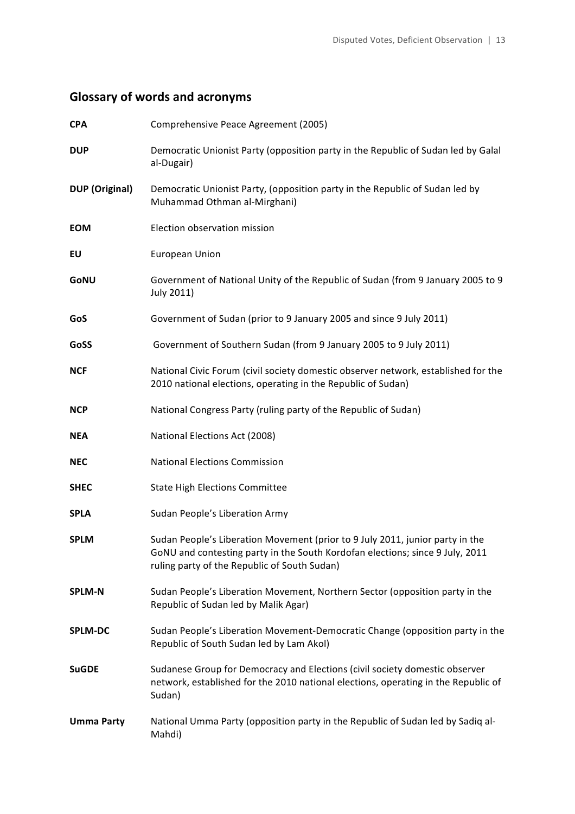# **Glossary of words and acronyms**

| <b>CPA</b>            | Comprehensive Peace Agreement (2005)                                                                                                                                                                           |
|-----------------------|----------------------------------------------------------------------------------------------------------------------------------------------------------------------------------------------------------------|
| <b>DUP</b>            | Democratic Unionist Party (opposition party in the Republic of Sudan led by Galal<br>al-Dugair)                                                                                                                |
| <b>DUP</b> (Original) | Democratic Unionist Party, (opposition party in the Republic of Sudan led by<br>Muhammad Othman al-Mirghani)                                                                                                   |
| <b>EOM</b>            | Election observation mission                                                                                                                                                                                   |
| EU                    | European Union                                                                                                                                                                                                 |
| GoNU                  | Government of National Unity of the Republic of Sudan (from 9 January 2005 to 9<br>July 2011)                                                                                                                  |
| GoS                   | Government of Sudan (prior to 9 January 2005 and since 9 July 2011)                                                                                                                                            |
| GoSS                  | Government of Southern Sudan (from 9 January 2005 to 9 July 2011)                                                                                                                                              |
| <b>NCF</b>            | National Civic Forum (civil society domestic observer network, established for the<br>2010 national elections, operating in the Republic of Sudan)                                                             |
| <b>NCP</b>            | National Congress Party (ruling party of the Republic of Sudan)                                                                                                                                                |
| <b>NEA</b>            | National Elections Act (2008)                                                                                                                                                                                  |
| <b>NEC</b>            | <b>National Elections Commission</b>                                                                                                                                                                           |
| <b>SHEC</b>           | <b>State High Elections Committee</b>                                                                                                                                                                          |
| <b>SPLA</b>           | Sudan People's Liberation Army                                                                                                                                                                                 |
| <b>SPLM</b>           | Sudan People's Liberation Movement (prior to 9 July 2011, junior party in the<br>GoNU and contesting party in the South Kordofan elections; since 9 July, 2011<br>ruling party of the Republic of South Sudan) |
| <b>SPLM-N</b>         | Sudan People's Liberation Movement, Northern Sector (opposition party in the<br>Republic of Sudan led by Malik Agar)                                                                                           |
| <b>SPLM-DC</b>        | Sudan People's Liberation Movement-Democratic Change (opposition party in the<br>Republic of South Sudan led by Lam Akol)                                                                                      |
| <b>SuGDE</b>          | Sudanese Group for Democracy and Elections (civil society domestic observer<br>network, established for the 2010 national elections, operating in the Republic of<br>Sudan)                                    |
| <b>Umma Party</b>     | National Umma Party (opposition party in the Republic of Sudan led by Sadiq al-<br>Mahdi)                                                                                                                      |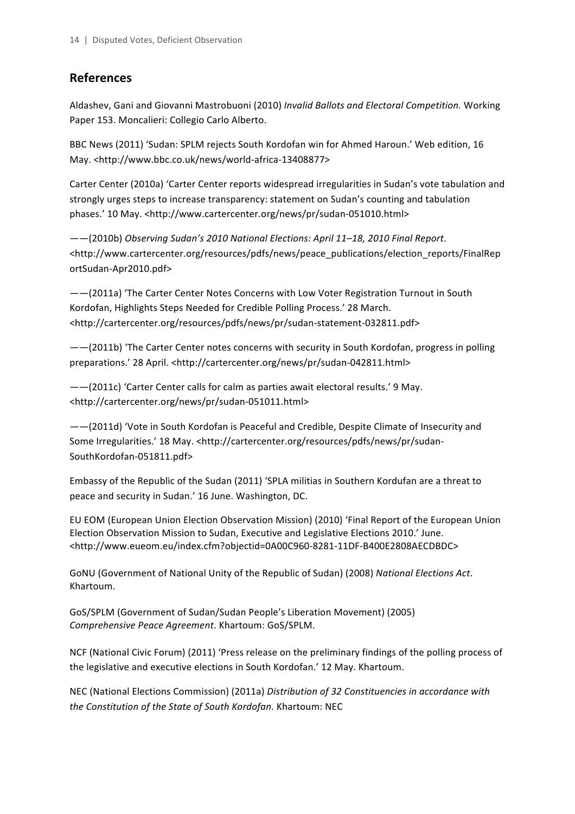## **References**

Aldashev, Gani and Giovanni Mastrobuoni (2010) Invalid Ballots and Electoral Competition. Working Paper 153. Moncalieri: Collegio Carlo Alberto.

BBC News (2011) 'Sudan: SPLM rejects South Kordofan win for Ahmed Haroun.' Web edition, 16 May. <http://www.bbc.co.uk/news/world-africa-13408877>

Carter Center (2010a) 'Carter Center reports widespread irregularities in Sudan's vote tabulation and strongly urges steps to increase transparency: statement on Sudan's counting and tabulation phases.' 10 May. <http://www.cartercenter.org/news/pr/sudan-051010.html> 

——(2010b) *Observing Sudan's 2010 National Elections: April 11–18, 2010 Final Report*. <http://www.cartercenter.org/resources/pdfs/news/peace\_publications/election\_reports/FinalRep ortSudan-Apr2010.pdf>

--(2011a) 'The Carter Center Notes Concerns with Low Voter Registration Turnout in South Kordofan, Highlights Steps Needed for Credible Polling Process.' 28 March. <http://cartercenter.org/resources/pdfs/news/pr/sudan-statement-032811.pdf>

 $--$ (2011b) 'The Carter Center notes concerns with security in South Kordofan, progress in polling preparations.' 28 April. <http://cartercenter.org/news/pr/sudan-042811.html>

 $-$  (2011c) 'Carter Center calls for calm as parties await electoral results.' 9 May. <http://cartercenter.org/news/pr/sudan-051011.html> 

 $--$ (2011d) 'Vote in South Kordofan is Peaceful and Credible, Despite Climate of Insecurity and Some Irregularities.' 18 May. <http://cartercenter.org/resources/pdfs/news/pr/sudan-SouthKordofan-051811.pdf>

Embassy of the Republic of the Sudan (2011) 'SPLA militias in Southern Kordufan are a threat to peace and security in Sudan.' 16 June. Washington, DC.

EU EOM (European Union Election Observation Mission) (2010) 'Final Report of the European Union Election Observation Mission to Sudan, Executive and Legislative Elections 2010.' June. <http://www.eueom.eu/index.cfm?objectid=0A00C960-8281-11DF-B400E2808AECDBDC>

GoNU (Government of National Unity of the Republic of Sudan) (2008) National Elections Act. Khartoum. 

GoS/SPLM (Government of Sudan/Sudan People's Liberation Movement) (2005) *Comprehensive Peace Agreement*. Khartoum: GoS/SPLM.

NCF (National Civic Forum) (2011) 'Press release on the preliminary findings of the polling process of the legislative and executive elections in South Kordofan.' 12 May. Khartoum.

NEC (National Elections Commission) (2011a) *Distribution of 32 Constituencies in accordance with* the Constitution of the State of South Kordofan. Khartoum: NEC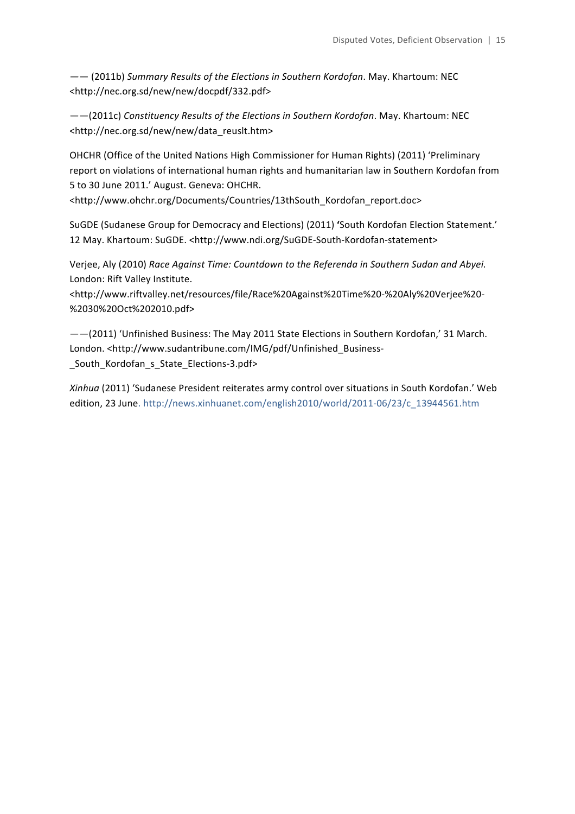$--$  (2011b) Summary Results of the Elections in Southern Kordofan. May. Khartoum: NEC <http://nec.org.sd/new/new/docpdf/332.pdf>

 $--$ (2011c) Constituency Results of the Elections in Southern Kordofan. May. Khartoum: NEC <http://nec.org.sd/new/new/data\_reuslt.htm> 

OHCHR (Office of the United Nations High Commissioner for Human Rights) (2011) 'Preliminary report on violations of international human rights and humanitarian law in Southern Kordofan from 5 to 30 June 2011.' August. Geneva: OHCHR.

<http://www.ohchr.org/Documents/Countries/13thSouth\_Kordofan\_report.doc>

SuGDE (Sudanese Group for Democracy and Elections) (2011) 'South Kordofan Election Statement.' 12 May. Khartoum: SuGDE. <http://www.ndi.org/SuGDE-South-Kordofan-statement>

Verjee, Aly (2010) Race Against Time: Countdown to the Referenda in Southern Sudan and Abyei. London: Rift Valley Institute.

<http://www.riftvalley.net/resources/file/Race%20Against%20Time%20-%20Aly%20Verjee%20- %2030%20Oct%202010.pdf>

--(2011) 'Unfinished Business: The May 2011 State Elections in Southern Kordofan,' 31 March. London. <http://www.sudantribune.com/IMG/pdf/Unfinished\_Business- \_South\_Kordofan\_s\_State\_Elections-3.pdf>

*Xinhua* (2011) 'Sudanese President reiterates army control over situations in South Kordofan.' Web edition, 23 June. http://news.xinhuanet.com/english2010/world/2011-06/23/c\_13944561.htm